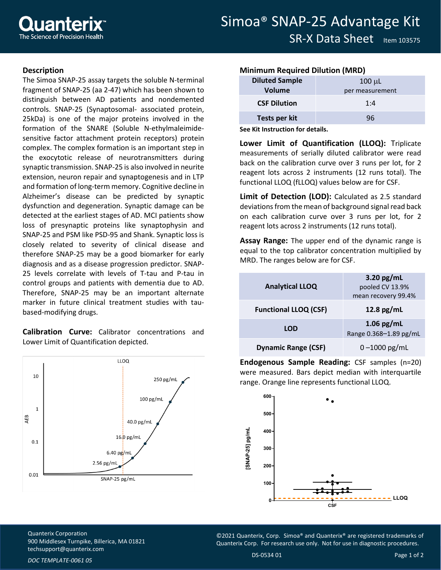## **Description**

The Simoa SNAP-25 assay targets the soluble N-terminal fragment of SNAP-25 (aa 2-47) which has been shown to distinguish between AD patients and nondemented controls. SNAP-25 (Synaptosomal- associated protein, 25kDa) is one of the major proteins involved in the formation of the SNARE (Soluble N-ethylmaleimidesensitive factor attachment protein receptors) protein complex. The complex formation is an important step in the exocytotic release of neurotransmitters during synaptic transmission. SNAP-25 is also involved in neurite extension, neuron repair and synaptogenesis and in LTP and formation of long-term memory. Cognitive decline in Alzheimer's disease can be predicted by synaptic dysfunction and degeneration. Synaptic damage can be detected at the earliest stages of AD. MCI patients show loss of presynaptic proteins like synaptophysin and SNAP-25 and PSM like PSD-95 and Shank. Synaptic loss is closely related to severity of clinical disease and therefore SNAP-25 may be a good biomarker for early diagnosis and as a disease progression predictor. SNAP-25 levels correlate with levels of T-tau and P-tau in control groups and patients with dementia due to AD. Therefore, SNAP-25 may be an important alternate marker in future clinical treatment studies with taubased-modifying drugs.

**Calibration Curve:** Calibrator concentrations and Lower Limit of Quantification depicted.



## **Minimum Required Dilution (MRD)**

| <b>Diluted Sample</b> | $100 \mu L$     |
|-----------------------|-----------------|
| Volume                | per measurement |
| <b>CSF Dilution</b>   | 1:4             |
| Tests per kit         | 96              |

**See Kit Instruction for details.**

**Lower Limit of Quantification (LLOQ):** Triplicate measurements of serially diluted calibrator were read back on the calibration curve over 3 runs per lot, for 2 reagent lots across 2 instruments (12 runs total). The functional LLOQ (fLLOQ) values below are for CSF.

**Limit of Detection (LOD):** Calculated as 2.5 standard deviations from the mean of background signal read back on each calibration curve over 3 runs per lot, for 2 reagent lots across 2 instruments (12 runs total).

**Assay Range:** The upper end of the dynamic range is equal to the top calibrator concentration multiplied by MRD. The ranges below are for CSF.

| <b>Analytical LLOQ</b>       | 3.20 $pg/mL$<br>pooled CV 13.9%<br>mean recovery 99.4% |
|------------------------------|--------------------------------------------------------|
| <b>Functional LLOQ (CSF)</b> | 12.8 $pg/mL$                                           |
| <b>LOD</b>                   | 1.06 pg/mL<br>Range 0.368-1.89 pg/mL                   |
| <b>Dynamic Range (CSF)</b>   | $0 - 1000$ pg/mL                                       |

**Endogenous Sample Reading:** CSF samples (n=20) were measured. Bars depict median with interquartile range. Orange line represents functional LLOQ.



Quanterix Corporation 900 Middlesex Turnpike, Billerica, MA 01821 [techsupport@quanterix.com](mailto:techsupport@quanterix.com)

©2021 Quanterix, Corp. Simoa® and Quanterix® are registered trademarks of Quanterix Corp. For research use only. Not for use in diagnostic procedures.

*DOC TEMPLATE-0061 05*